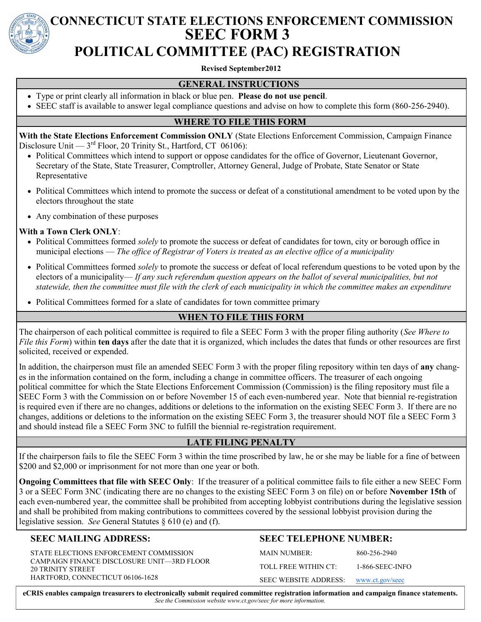

# **CONNECTICUT STATE ELECTIONS ENFORCEMENT COMMISSION SEEC FORM 3 POLITICAL COMMITTEE (PAC) REGISTRATION**

#### **Revised September2012**

# **GENERAL INSTRUCTIONS**

- Type or print clearly all information in black or blue pen. **Please do not use pencil**.
- SEEC staff is available to answer legal compliance questions and advise on how to complete this form (860-256-2940).

# **WHERE TO FILE THIS FORM**

**With the State Elections Enforcement Commission ONLY** (State Elections Enforcement Commission, Campaign Finance Disclosure Unit  $-3^{rd}$  Floor, 20 Trinity St., Hartford, CT 06106):

- Political Committees which intend to support or oppose candidates for the office of Governor, Lieutenant Governor, Secretary of the State, State Treasurer, Comptroller, Attorney General, Judge of Probate, State Senator or State Representative
- Political Committees which intend to promote the success or defeat of a constitutional amendment to be voted upon by the electors throughout the state
- Any combination of these purposes

#### **With a Town Clerk ONLY**:

- Political Committees formed *solely* to promote the success or defeat of candidates for town, city or borough office in municipal elections — *The office of Registrar of Voters is treated as an elective office of a municipality*
- Political Committees formed *solely* to promote the success or defeat of local referendum questions to be voted upon by the electors of a municipality— *If any such referendum question appears on the ballot of several municipalities, but not statewide, then the committee must file with the clerk of each municipality in which the committee makes an expenditure*
- Political Committees formed for a slate of candidates for town committee primary

# **WHEN TO FILE THIS FORM**

The chairperson of each political committee is required to file a SEEC Form 3 with the proper filing authority (*See Where to File this Form*) within **ten days** after the date that it is organized, which includes the dates that funds or other resources are first solicited, received or expended.

In addition, the chairperson must file an amended SEEC Form 3 with the proper filing repository within ten days of **any** changes in the information contained on the form, including a change in committee officers. The treasurer of each ongoing political committee for which the State Elections Enforcement Commission (Commission) is the filing repository must file a SEEC Form 3 with the Commission on or before November 15 of each even-numbered year. Note that biennial re-registration is required even if there are no changes, additions or deletions to the information on the existing SEEC Form 3. If there are no changes, additions or deletions to the information on the existing SEEC Form 3, the treasurer should NOT file a SEEC Form 3 and should instead file a SEEC Form 3NC to fulfill the biennial re-registration requirement.

# **LATE FILING PENALTY**

If the chairperson fails to file the SEEC Form 3 within the time proscribed by law, he or she may be liable for a fine of between \$200 and \$2,000 or imprisonment for not more than one year or both.

**Ongoing Committees that file with SEEC Only**: If the treasurer of a political committee fails to file either a new SEEC Form 3 or a SEEC Form 3NC (indicating there are no changes to the existing SEEC Form 3 on file) on or before **November 15th** of each even-numbered year, the committee shall be prohibited from accepting lobbyist contributions during the legislative session and shall be prohibited from making contributions to committees covered by the sessional lobbyist provision during the legislative session. *See* General Statutes § 610 (e) and (f).

# **SEEC MAILING ADDRESS:**

STATE ELECTIONS ENFORCEMENT COMMISSION CAMPAIGN FINANCE DISCLOSURE UNIT—3RD FLOOR 20 TRINITY STREET HARTFORD, CONNECTICUT 06106-1628

# **SEEC TELEPHONE NUMBER:**

MAIN NUMBER: 860-256-2940 TOLL FREE WITHIN CT: 1-866-SEEC-INFO

SEEC WEBSITE ADDRESS: [www.ct.gov/seec](http://www.ct.gov/seec)

**eCRIS enables campaign treasurers to electronically submit required committee registration information and campaign finance statements.**  *See the Commission website www.ct.gov/seec for more information.*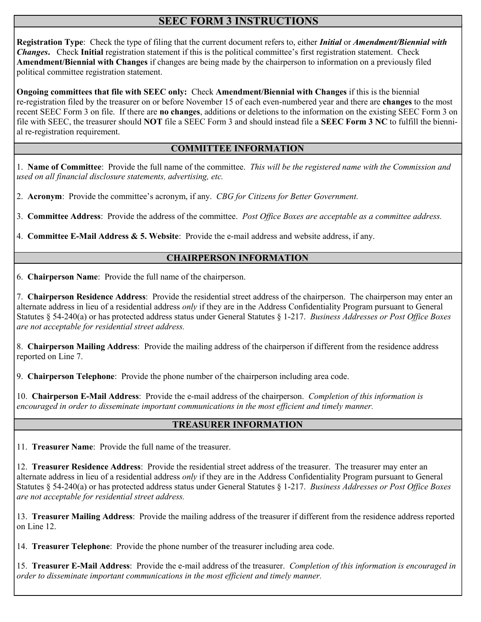# **SEEC FORM 3 INSTRUCTIONS**

**Registration Type**: Check the type of filing that the current document refers to, either *Initial* or *Amendment/Biennial with Changes***.** Check **Initial** registration statement if this is the political committee's first registration statement. Check **Amendment/Biennial with Changes** if changes are being made by the chairperson to information on a previously filed political committee registration statement.

**Ongoing committees that file with SEEC only:** Check **Amendment/Biennial with Changes** if this is the biennial re-registration filed by the treasurer on or before November 15 of each even-numbered year and there are **changes** to the most recent SEEC Form 3 on file. If there are **no changes**, additions or deletions to the information on the existing SEEC Form 3 on file with SEEC, the treasurer should **NOT** file a SEEC Form 3 and should instead file a **SEEC Form 3 NC** to fulfill the biennial re-registration requirement.

# **COMMITTEE INFORMATION**

1. **Name of Committee**: Provide the full name of the committee. *This will be the registered name with the Commission and used on all financial disclosure statements, advertising, etc.* 

2. **Acronym**: Provide the committee's acronym, if any. *CBG for Citizens for Better Government.*

3. **Committee Address**:Provide the address of the committee. *Post Office Boxes are acceptable as a committee address.*

4. **Committee E-Mail Address & 5. Website**: Provide the e-mail address and website address, if any.

# **CHAIRPERSON INFORMATION**

6. **Chairperson Name**: Provide the full name of the chairperson.

7. **Chairperson Residence Address**: Provide the residential street address of the chairperson. The chairperson may enter an alternate address in lieu of a residential address *only* if they are in the Address Confidentiality Program pursuant to General Statutes § 54-240(a) or has protected address status under General Statutes § 1-217. *Business Addresses or Post Office Boxes are not acceptable for residential street address.*

8. **Chairperson Mailing Address**: Provide the mailing address of the chairperson if different from the residence address reported on Line 7.

9. **Chairperson Telephone**: Provide the phone number of the chairperson including area code.

10. **Chairperson E-Mail Address**: Provide the e-mail address of the chairperson. *Completion of this information is encouraged in order to disseminate important communications in the most efficient and timely manner.*

# **TREASURER INFORMATION**

11. **Treasurer Name**: Provide the full name of the treasurer.

12. **Treasurer Residence Address**: Provide the residential street address of the treasurer. The treasurer may enter an alternate address in lieu of a residential address *only* if they are in the Address Confidentiality Program pursuant to General Statutes § 54-240(a) or has protected address status under General Statutes § 1-217. *Business Addresses or Post Office Boxes are not acceptable for residential street address.*

13. **Treasurer Mailing Address**: Provide the mailing address of the treasurer if different from the residence address reported on Line 12.

14. **Treasurer Telephone**: Provide the phone number of the treasurer including area code.

15. **Treasurer E-Mail Address**: Provide the e-mail address of the treasurer. *Completion of this information is encouraged in order to disseminate important communications in the most efficient and timely manner.*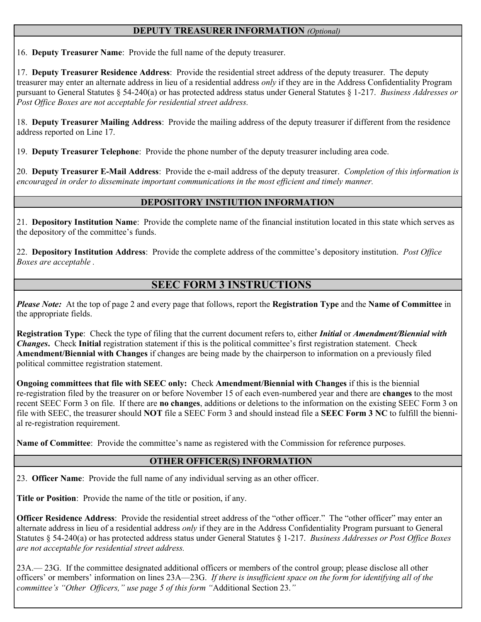# **DEPUTY TREASURER INFORMATION** *(Optional)*

16. **Deputy Treasurer Name**: Provide the full name of the deputy treasurer.

17. **Deputy Treasurer Residence Address**: Provide the residential street address of the deputy treasurer. The deputy treasurer may enter an alternate address in lieu of a residential address *only* if they are in the Address Confidentiality Program pursuant to General Statutes § 54-240(a) or has protected address status under General Statutes § 1-217. *Business Addresses or Post Office Boxes are not acceptable for residential street address.*

18. **Deputy Treasurer Mailing Address**: Provide the mailing address of the deputy treasurer if different from the residence address reported on Line 17.

19. **Deputy Treasurer Telephone**: Provide the phone number of the deputy treasurer including area code.

20. **Deputy Treasurer E-Mail Address**: Provide the e-mail address of the deputy treasurer. *Completion of this information is encouraged in order to disseminate important communications in the most efficient and timely manner.*

# **DEPOSITORY INSTIUTION INFORMATION**

21. **Depository Institution Name**: Provide the complete name of the financial institution located in this state which serves as the depository of the committee's funds.

22. **Depository Institution Address**: Provide the complete address of the committee's depository institution. *Post Office Boxes are acceptable .*

# **SEEC FORM 3 INSTRUCTIONS**

*Please Note:* At the top of page 2 and every page that follows, report the **Registration Type** and the **Name of Committee** in the appropriate fields.

**Registration Type**: Check the type of filing that the current document refers to, either *Initial* or *Amendment/Biennial with Changes***.** Check **Initial** registration statement if this is the political committee's first registration statement. Check **Amendment/Biennial with Changes** if changes are being made by the chairperson to information on a previously filed political committee registration statement.

**Ongoing committees that file with SEEC only:** Check **Amendment/Biennial with Changes** if this is the biennial re-registration filed by the treasurer on or before November 15 of each even-numbered year and there are **changes** to the most recent SEEC Form 3 on file. If there are **no changes**, additions or deletions to the information on the existing SEEC Form 3 on file with SEEC, the treasurer should **NOT** file a SEEC Form 3 and should instead file a **SEEC Form 3 NC** to fulfill the biennial re-registration requirement.

**Name of Committee**: Provide the committee's name as registered with the Commission for reference purposes.

# **OTHER OFFICER(S) INFORMATION**

23. **Officer Name**: Provide the full name of any individual serving as an other officer.

**Title or Position**: Provide the name of the title or position, if any.

**Officer Residence Address**: Provide the residential street address of the "other officer." The "other officer" may enter an alternate address in lieu of a residential address *only* if they are in the Address Confidentiality Program pursuant to General Statutes § 54-240(a) or has protected address status under General Statutes § 1-217. *Business Addresses or Post Office Boxes are not acceptable for residential street address.*

23A.— 23G. If the committee designated additional officers or members of the control group; please disclose all other officers' or members' information on lines 23A—23G. *If there is insufficient space on the form for identifying all of the committee's "Other Officers," use page 5 of this form "*Additional Section 23.*"*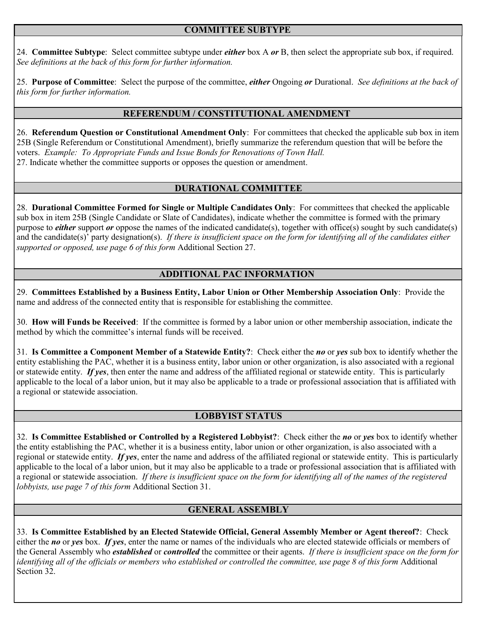#### **COMMITTEE SUBTYPE**

24. **Committee Subtype**: Select committee subtype under *either* box A *or* B, then select the appropriate sub box, if required. *See definitions at the back of this form for further information.* 

25. **Purpose of Committee**: Select the purpose of the committee, *either* Ongoing *or* Durational. *See definitions at the back of this form for further information.* 

#### **REFERENDUM / CONSTITUTIONAL AMENDMENT**

26. **Referendum Question or Constitutional Amendment Only**: For committees that checked the applicable sub box in item 25B (Single Referendum or Constitutional Amendment), briefly summarize the referendum question that will be before the voters. *Example: To Appropriate Funds and Issue Bonds for Renovations of Town Hall.*  27. Indicate whether the committee supports or opposes the question or amendment.

# **DURATIONAL COMMITTEE**

28. **Durational Committee Formed for Single or Multiple Candidates Only**: For committees that checked the applicable sub box in item 25B (Single Candidate or Slate of Candidates), indicate whether the committee is formed with the primary purpose to *either* support *or* oppose the names of the indicated candidate(s), together with office(s) sought by such candidate(s) and the candidate(s)' party designation(s). *If there is insufficient space on the form for identifying all of the candidates either supported or opposed, use page 6 of this form* Additional Section 27.

# **ADDITIONAL PAC INFORMATION**

29. **Committees Established by a Business Entity, Labor Union or Other Membership Association Only**: Provide the name and address of the connected entity that is responsible for establishing the committee.

30. **How will Funds be Received**: If the committee is formed by a labor union or other membership association, indicate the method by which the committee's internal funds will be received.

31. **Is Committee a Component Member of a Statewide Entity?**: Check either the *no* or *yes* sub box to identify whether the entity establishing the PAC, whether it is a business entity, labor union or other organization, is also associated with a regional or statewide entity. *If yes*, then enter the name and address of the affiliated regional or statewide entity. This is particularly applicable to the local of a labor union, but it may also be applicable to a trade or professional association that is affiliated with a regional or statewide association.

# **LOBBYIST STATUS**

32. **Is Committee Established or Controlled by a Registered Lobbyist?**: Check either the *no* or *yes* box to identify whether the entity establishing the PAC, whether it is a business entity, labor union or other organization, is also associated with a regional or statewide entity. *If yes*, enter the name and address of the affiliated regional or statewide entity. This is particularly applicable to the local of a labor union, but it may also be applicable to a trade or professional association that is affiliated with a regional or statewide association. *If there is insufficient space on the form for identifying all of the names of the registered lobbyists, use page 7 of this form* Additional Section 31.

# **GENERAL ASSEMBLY**

33. **Is Committee Established by an Elected Statewide Official, General Assembly Member or Agent thereof?**: Check either the *no* or *yes* box. *If yes*, enter the name or names of the individuals who are elected statewide officials or members of the General Assembly who *established* or *controlled* the committee or their agents. *If there is insufficient space on the form for identifying all of the officials or members who established or controlled the committee, use page 8 of this form Additional* Section 32.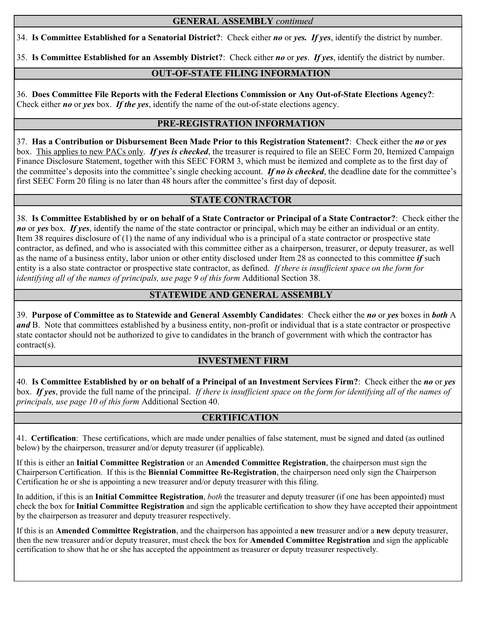#### **GENERAL ASSEMBLY** *continued*

34. **Is Committee Established for a Senatorial District?**:Check either *no* or *yes. If yes*, identify the district by number.

35. **Is Committee Established for an Assembly District?**: Check either *no* or *yes*. *If yes*, identify the district by number.

# **OUT-OF-STATE FILING INFORMATION**

36. **Does Committee File Reports with the Federal Elections Commission or Any Out-of-State Elections Agency?**: Check either *no* or *yes* box. *If the yes*, identify the name of the out-of-state elections agency.

#### **PRE-REGISTRATION INFORMATION**

37. **Has a Contribution or Disbursement Been Made Prior to this Registration Statement?**: Check either the *no* or *yes* box. This applies to new PACs only. *If yes is checked*, the treasurer is required to file an SEEC Form 20, Itemized Campaign Finance Disclosure Statement, together with this SEEC FORM 3, which must be itemized and complete as to the first day of the committee's deposits into the committee's single checking account. *If no is checked*, the deadline date for the committee's first SEEC Form 20 filing is no later than 48 hours after the committee's first day of deposit.

#### **STATE CONTRACTOR**

38. **Is Committee Established by or on behalf of a State Contractor or Principal of a State Contractor?**: Check either the *no* or *yes* box. *If yes*, identify the name of the state contractor or principal, which may be either an individual or an entity. Item 38 requires disclosure of (1) the name of any individual who is a principal of a state contractor or prospective state contractor, as defined, and who is associated with this committee either as a chairperson, treasurer, or deputy treasurer, as well as the name of a business entity, labor union or other entity disclosed under Item 28 as connected to this committee *if* such entity is a also state contractor or prospective state contractor, as defined. *If there is insufficient space on the form for identifying all of the names of principals, use page 9 of this form Additional Section 38.* 

# **STATEWIDE AND GENERAL ASSEMBLY**

39. **Purpose of Committee as to Statewide and General Assembly Candidates**: Check either the *no* or *yes* boxes in *both* A *and* B. Note that committees established by a business entity, non-profit or individual that is a state contractor or prospective state contactor should not be authorized to give to candidates in the branch of government with which the contractor has contract(s).

# **INVESTMENT FIRM**

40. **Is Committee Established by or on behalf of a Principal of an Investment Services Firm?**: Check either the *no* or *yes*  box. *If yes*, provide the full name of the principal. *If there is insufficient space on the form for identifying all of the names of principals, use page 10 of this form* Additional Section 40.

# **CERTIFICATION**

41. **Certification**: These certifications, which are made under penalties of false statement, must be signed and dated (as outlined below) by the chairperson, treasurer and/or deputy treasurer (if applicable).

If this is either an **Initial Committee Registration** or an **Amended Committee Registration**, the chairperson must sign the Chairperson Certification. If this is the **Biennial Committee Re-Registration**, the chairperson need only sign the Chairperson Certification he or she is appointing a new treasurer and/or deputy treasurer with this filing.

In addition, if this is an **Initial Committee Registration**, *both* the treasurer and deputy treasurer (if one has been appointed) must check the box for **Initial Committee Registration** and sign the applicable certification to show they have accepted their appointment by the chairperson as treasurer and deputy treasurer respectively.

If this is an **Amended Committee Registration**, and the chairperson has appointed a **new** treasurer and/or a **new** deputy treasurer, then the new treasurer and/or deputy treasurer, must check the box for **Amended Committee Registration** and sign the applicable certification to show that he or she has accepted the appointment as treasurer or deputy treasurer respectively.